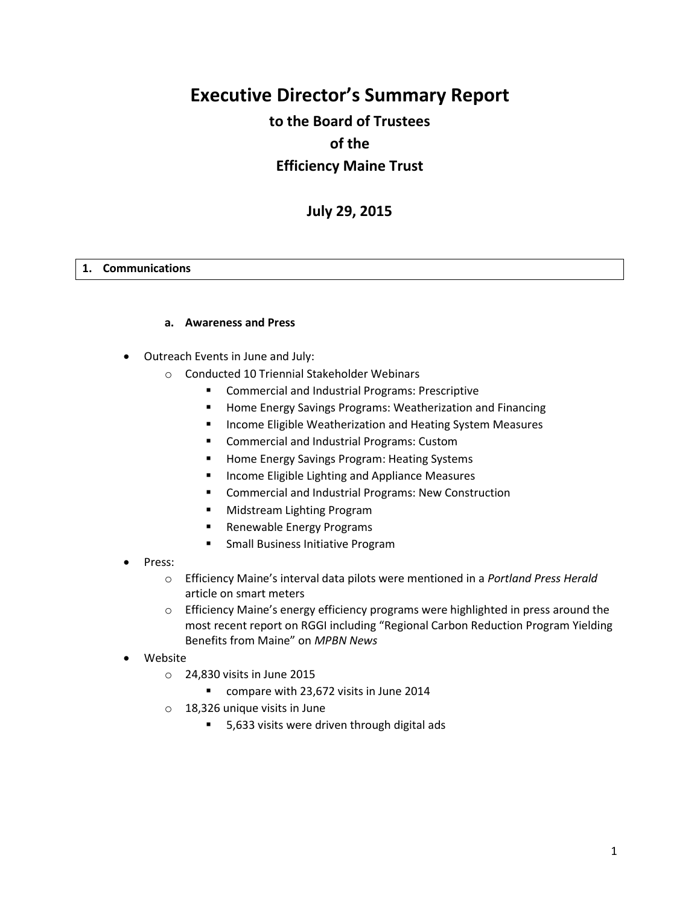# **Executive Director's Summary Report**

# **to the Board of Trustees of the Efficiency Maine Trust**

# **July 29, 2015**

#### **1. Communications**

#### **a. Awareness and Press**

- Outreach Events in June and July:
	- o Conducted 10 Triennial Stakeholder Webinars
		- **EXECOMMERCIAL AND INCOCENT COMMERCIAL EXAMPLE THE COMMERCIAL EXAMPLE THE COMMERCIAL COMMERCIAL COMMERCIAL EXAMPLE**
		- **Home Energy Savings Programs: Weatherization and Financing**
		- **Income Eligible Weatherization and Heating System Measures**
		- **E** Commercial and Industrial Programs: Custom
		- **Home Energy Savings Program: Heating Systems**
		- **Income Eligible Lighting and Appliance Measures**
		- Commercial and Industrial Programs: New Construction
		- Midstream Lighting Program
		- Renewable Energy Programs
		- **Small Business Initiative Program**
- Press:
	- o Efficiency Maine's interval data pilots were mentioned in a *Portland Press Herald*  article on smart meters
	- o Efficiency Maine's energy efficiency programs were highlighted in press around the most recent report on RGGI including "Regional Carbon Reduction Program Yielding Benefits from Maine" on *MPBN News*
- Website
	- o 24,830 visits in June 2015
		- compare with 23,672 visits in June 2014
	- o 18,326 unique visits in June
		- 5,633 visits were driven through digital ads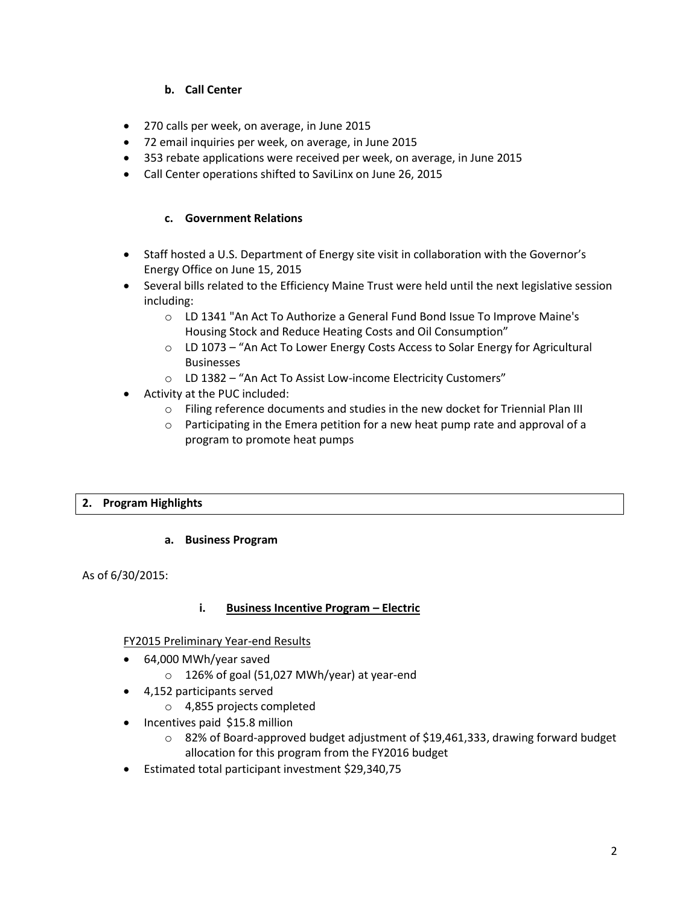# **b. Call Center**

- 270 calls per week, on average, in June 2015
- 72 email inquiries per week, on average, in June 2015
- 353 rebate applications were received per week, on average, in June 2015
- Call Center operations shifted to SaviLinx on June 26, 2015

#### **c. Government Relations**

- Staff hosted a U.S. Department of Energy site visit in collaboration with the Governor's Energy Office on June 15, 2015
- Several bills related to the Efficiency Maine Trust were held until the next legislative session including:
	- o LD 1341 "An Act To Authorize a General Fund Bond Issue To Improve Maine's Housing Stock and Reduce Heating Costs and Oil Consumption"
	- o LD 1073 "An Act To Lower Energy Costs Access to Solar Energy for Agricultural Businesses
	- o LD 1382 "An Act To Assist Low-income Electricity Customers"
- Activity at the PUC included:
	- o Filing reference documents and studies in the new docket for Triennial Plan III
	- $\circ$  Participating in the Emera petition for a new heat pump rate and approval of a program to promote heat pumps

#### **2. Program Highlights**

#### **a. Business Program**

As of 6/30/2015:

#### **i. Business Incentive Program – Electric**

#### FY2015 Preliminary Year-end Results

- 64,000 MWh/year saved
	- o 126% of goal (51,027 MWh/year) at year-end
- 4,152 participants served
	- o 4,855 projects completed
- Incentives paid \$15.8 million
	- $\circ$  82% of Board-approved budget adjustment of \$19,461,333, drawing forward budget allocation for this program from the FY2016 budget
- Estimated total participant investment \$29,340,75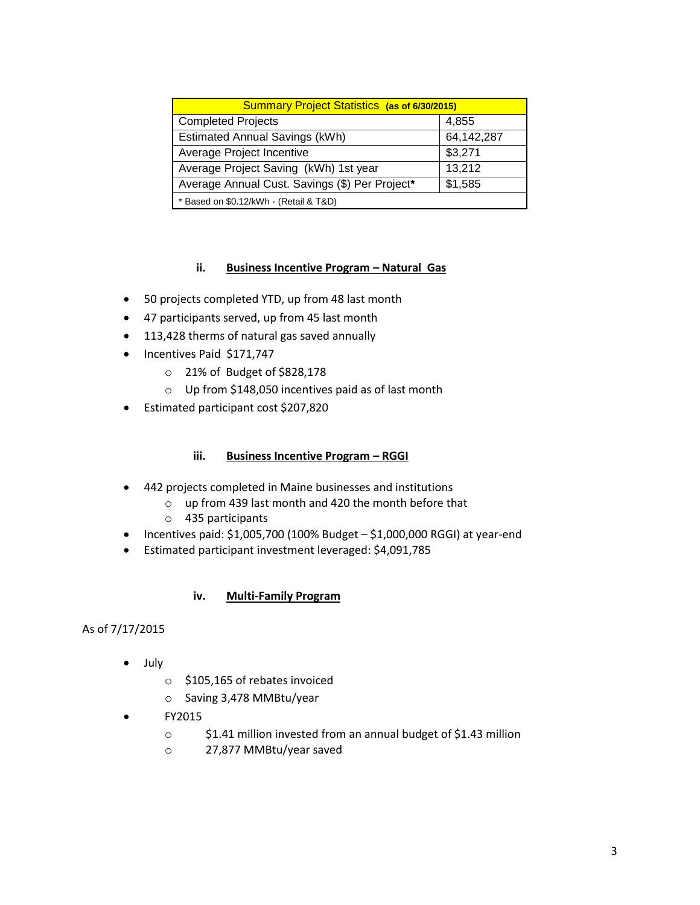| <b>Summary Project Statistics (as of 6/30/2015)</b> |            |
|-----------------------------------------------------|------------|
| <b>Completed Projects</b>                           | 4,855      |
| <b>Estimated Annual Savings (kWh)</b>               | 64,142,287 |
| Average Project Incentive                           | \$3,271    |
| Average Project Saving (kWh) 1st year               | 13,212     |
| Average Annual Cust. Savings (\$) Per Project*      | \$1,585    |
| * Based on \$0.12/kWh - (Retail & T&D)              |            |

# **ii. Business Incentive Program – Natural Gas**

- 50 projects completed YTD, up from 48 last month
- 47 participants served, up from 45 last month
- 113,428 therms of natural gas saved annually
- Incentives Paid \$171,747
	- o 21% of Budget of \$828,178
	- o Up from \$148,050 incentives paid as of last month
- Estimated participant cost \$207,820

#### **iii. Business Incentive Program – RGGI**

- 442 projects completed in Maine businesses and institutions
	- o up from 439 last month and 420 the month before that
		- o 435 participants
- $\bullet$  Incentives paid: \$1,005,700 (100% Budget  $-$  \$1,000,000 RGGI) at year-end
- Estimated participant investment leveraged: \$4,091,785

#### **iv. Multi-Family Program**

## As of 7/17/2015

- July
	- o \$105,165 of rebates invoiced
	- o Saving 3,478 MMBtu/year
- FY2015
	- o \$1.41 million invested from an annual budget of \$1.43 million
	- o 27,877 MMBtu/year saved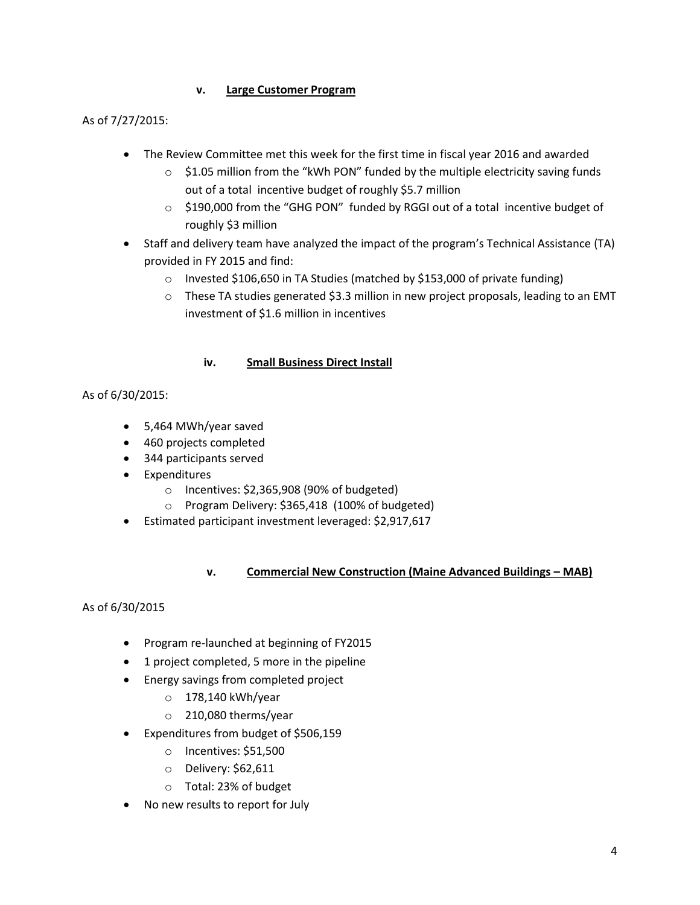# **v. Large Customer Program**

# As of 7/27/2015:

- The Review Committee met this week for the first time in fiscal year 2016 and awarded
	- $\circ$  \$1.05 million from the "kWh PON" funded by the multiple electricity saving funds out of a total incentive budget of roughly \$5.7 million
	- o \$190,000 from the "GHG PON" funded by RGGI out of a total incentive budget of roughly \$3 million
- Staff and delivery team have analyzed the impact of the program's Technical Assistance (TA) provided in FY 2015 and find:
	- o Invested \$106,650 in TA Studies (matched by \$153,000 of private funding)
	- o These TA studies generated \$3.3 million in new project proposals, leading to an EMT investment of \$1.6 million in incentives

# **iv. Small Business Direct Install**

# As of 6/30/2015:

- 5,464 MWh/year saved
- 460 projects completed
- 344 participants served
- Expenditures
	- o Incentives: \$2,365,908 (90% of budgeted)
	- o Program Delivery: \$365,418 (100% of budgeted)
- Estimated participant investment leveraged: \$2,917,617

# **v. Commercial New Construction (Maine Advanced Buildings – MAB)**

# As of 6/30/2015

- Program re-launched at beginning of FY2015
- 1 project completed, 5 more in the pipeline
- **•** Energy savings from completed project
	- o 178,140 kWh/year
	- o 210,080 therms/year
- Expenditures from budget of \$506,159
	- o Incentives: \$51,500
	- o Delivery: \$62,611
	- o Total: 23% of budget
- No new results to report for July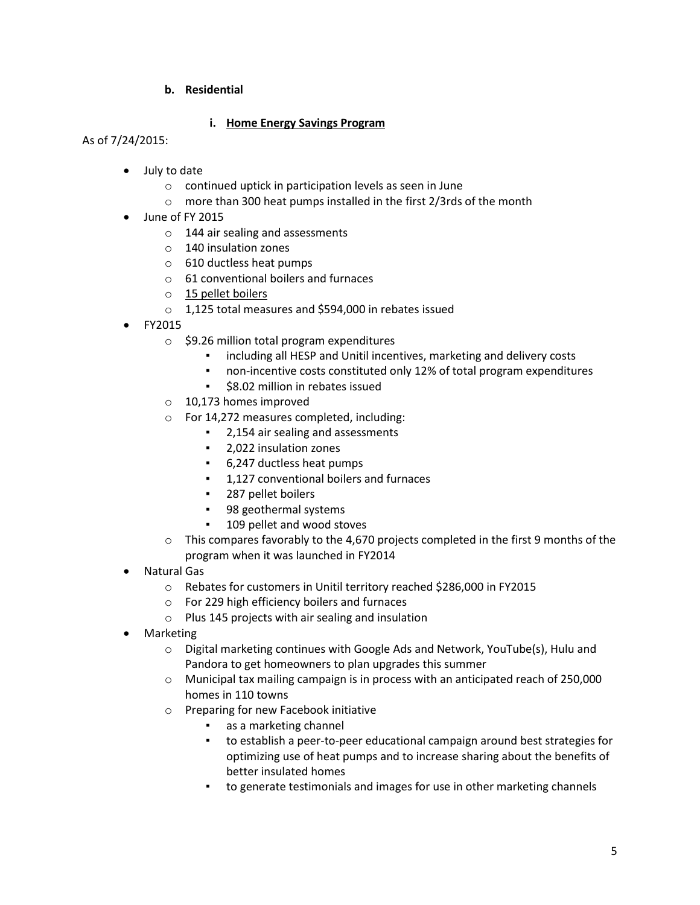## **b. Residential**

## **i. Home Energy Savings Program**

### As of 7/24/2015:

- July to date
	- o continued uptick in participation levels as seen in June
	- o more than 300 heat pumps installed in the first 2/3rds of the month
- June of FY 2015
	- o 144 air sealing and assessments
	- o 140 insulation zones
	- o 610 ductless heat pumps
	- o 61 conventional boilers and furnaces
	- o 15 pellet boilers
	- o 1,125 total measures and \$594,000 in rebates issued
- FY2015
	- o \$9.26 million total program expenditures
		- including all HESP and Unitil incentives, marketing and delivery costs
		- non-incentive costs constituted only 12% of total program expenditures
		- \$8.02 million in rebates issued
	- o 10,173 homes improved
	- o For 14,272 measures completed, including:
		- 2,154 air sealing and assessments
		- 2,022 insulation zones
		- 6,247 ductless heat pumps
		- **•** 1,127 conventional boilers and furnaces
		- 287 pellet boilers
		- 98 geothermal systems
		- 109 pellet and wood stoves
	- $\circ$  This compares favorably to the 4,670 projects completed in the first 9 months of the program when it was launched in FY2014
- Natural Gas
	- o Rebates for customers in Unitil territory reached \$286,000 in FY2015
	- o For 229 high efficiency boilers and furnaces
	- o Plus 145 projects with air sealing and insulation
- Marketing
	- o Digital marketing continues with Google Ads and Network, YouTube(s), Hulu and Pandora to get homeowners to plan upgrades this summer
	- o Municipal tax mailing campaign is in process with an anticipated reach of 250,000 homes in 110 towns
	- o Preparing for new Facebook initiative
		- as a marketing channel
		- to establish a peer-to-peer educational campaign around best strategies for optimizing use of heat pumps and to increase sharing about the benefits of better insulated homes
		- to generate testimonials and images for use in other marketing channels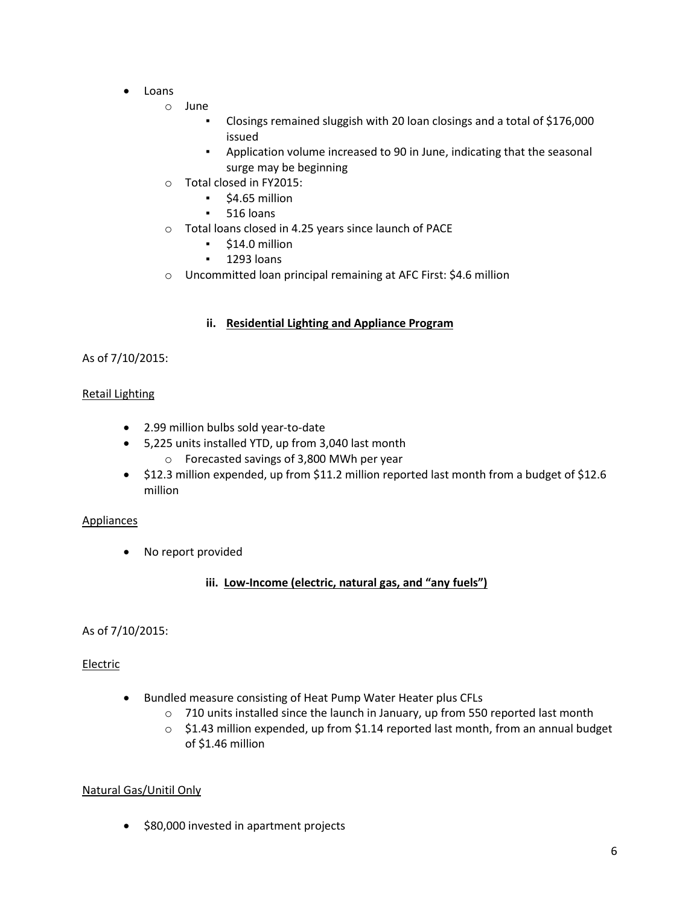- Loans
	- o June
		- Closings remained sluggish with 20 loan closings and a total of \$176,000 issued
		- Application volume increased to 90 in June, indicating that the seasonal surge may be beginning
	- o Total closed in FY2015:
		- \$4.65 million
		- 516 loans
	- o Total loans closed in 4.25 years since launch of PACE
		- \$14.0 million
		- **•** 1293 loans
	- o Uncommitted loan principal remaining at AFC First: \$4.6 million

## **ii. Residential Lighting and Appliance Program**

## As of 7/10/2015:

## Retail Lighting

- 2.99 million bulbs sold year-to-date
- 5,225 units installed YTD, up from 3,040 last month
	- o Forecasted savings of 3,800 MWh per year
- \$12.3 million expended, up from \$11.2 million reported last month from a budget of \$12.6 million

#### Appliances

• No report provided

# **iii. Low-Income (electric, natural gas, and "any fuels")**

#### As of 7/10/2015:

#### Electric

- Bundled measure consisting of Heat Pump Water Heater plus CFLs
	- $\circ$  710 units installed since the launch in January, up from 550 reported last month
	- o \$1.43 million expended, up from \$1.14 reported last month, from an annual budget of \$1.46 million

#### Natural Gas/Unitil Only

• \$80,000 invested in apartment projects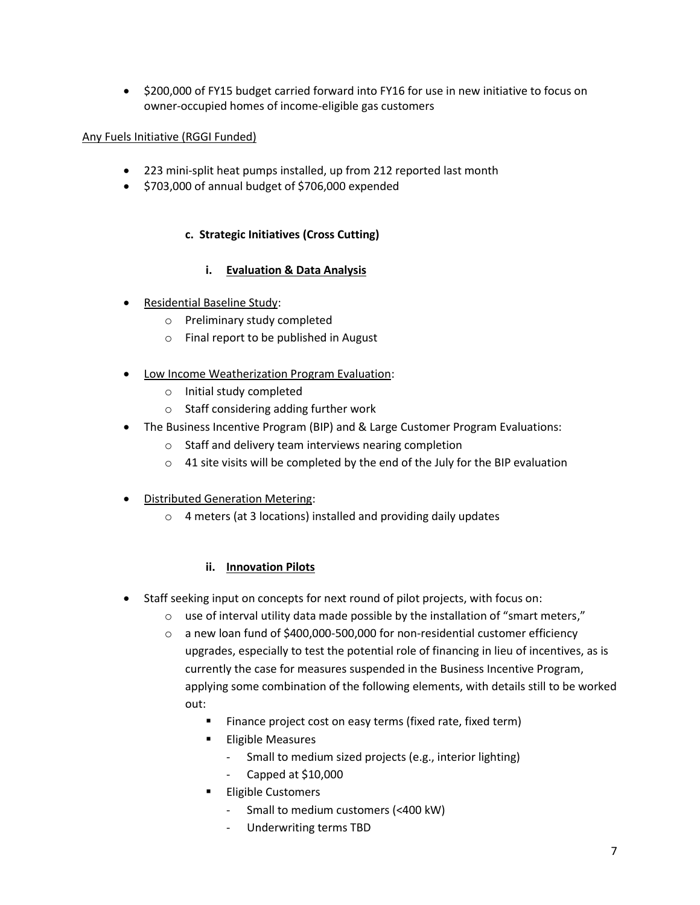• \$200,000 of FY15 budget carried forward into FY16 for use in new initiative to focus on owner-occupied homes of income-eligible gas customers

# Any Fuels Initiative (RGGI Funded)

- 223 mini-split heat pumps installed, up from 212 reported last month
- $\bullet$  \$703,000 of annual budget of \$706,000 expended

# **c. Strategic Initiatives (Cross Cutting)**

# **i. Evaluation & Data Analysis**

- Residential Baseline Study:
	- o Preliminary study completed
	- o Final report to be published in August
- Low Income Weatherization Program Evaluation:
	- o Initial study completed
	- o Staff considering adding further work
- The Business Incentive Program (BIP) and & Large Customer Program Evaluations:
	- o Staff and delivery team interviews nearing completion
	- $\circ$  41 site visits will be completed by the end of the July for the BIP evaluation
- Distributed Generation Metering:
	- o 4 meters (at 3 locations) installed and providing daily updates

# **ii. Innovation Pilots**

- Staff seeking input on concepts for next round of pilot projects, with focus on:
	- $\circ$  use of interval utility data made possible by the installation of "smart meters,"
	- o a new loan fund of \$400,000-500,000 for non-residential customer efficiency upgrades, especially to test the potential role of financing in lieu of incentives, as is currently the case for measures suspended in the Business Incentive Program, applying some combination of the following elements, with details still to be worked out:
		- **Finance project cost on easy terms (fixed rate, fixed term)**
		- **Eligible Measures** 
			- Small to medium sized projects (e.g., interior lighting)
			- Capped at \$10,000
		- **Eligible Customers** 
			- Small to medium customers (<400 kW)
			- Underwriting terms TBD